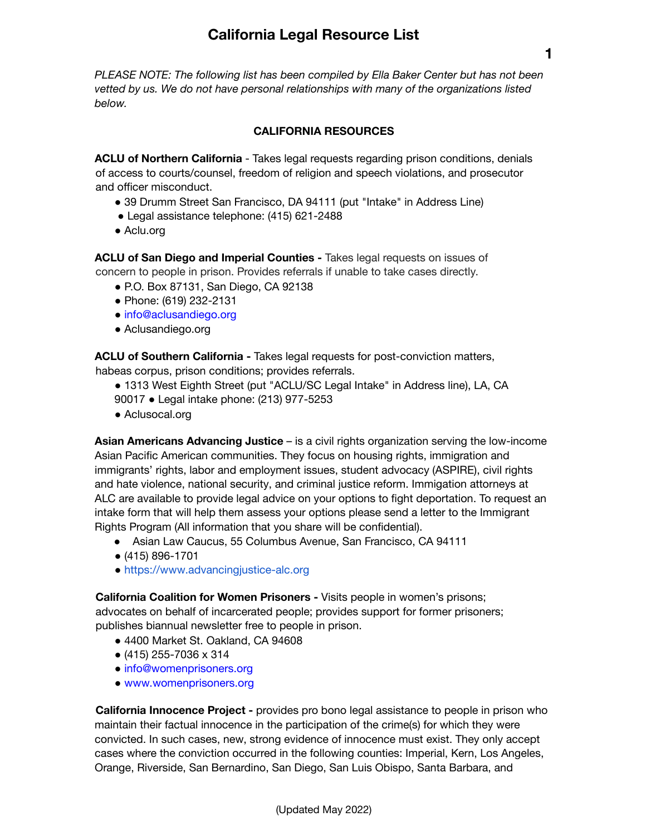*PLEASE NOTE: The following list has been compiled by Ella Baker Center but has not been vetted by us. We do not have personal relationships with many of the organizations listed below.*

#### **CALIFORNIA RESOURCES**

**ACLU of Northern California** - Takes legal requests regarding prison conditions, denials of access to courts/counsel, freedom of religion and speech violations, and prosecutor and officer misconduct.

- 39 Drumm Street San Francisco, DA 94111 (put "Intake" in Address Line)
- Legal assistance telephone: (415) 621-2488
- Aclu.org

**ACLU of San Diego and Imperial Counties -** Takes legal requests on issues of concern to people in prison. Provides referrals if unable to take cases directly.

- P.O. Box 87131, San Diego, CA 92138
- Phone: (619) 232-2131
- info@aclusandiego.org
- Aclusandiego.org

**ACLU of Southern California -** Takes legal requests for post-conviction matters, habeas corpus, prison conditions; provides referrals.

- 1313 West Eighth Street (put "ACLU/SC Legal Intake" in Address line), LA, CA
- 90017 Legal intake phone: (213) 977-5253
- Aclusocal.org

**Asian Americans Advancing Justice** – is a civil rights organization serving the low-income Asian Pacific American communities. They focus on housing rights, immigration and immigrants' rights, labor and employment issues, student advocacy (ASPIRE), civil rights and hate violence, national security, and criminal justice reform. Immigation attorneys at ALC are available to provide legal advice on your options to fight deportation. To request an intake form that will help them assess your options please send a letter to the Immigrant Rights Program (All information that you share will be confidential).

- Asian Law Caucus, 55 Columbus Avenue, San Francisco, CA 94111
- (415) 896-1701
- https://www.advancingjustice-alc.org

**California Coalition for Women Prisoners -** Visits people in women's prisons; advocates on behalf of incarcerated people; provides support for former prisoners; publishes biannual newsletter free to people in prison.

- 4400 Market St. Oakland, CA 94608
- (415) 255-7036 x 314
- info@womenprisoners.org
- www.womenprisoners.org

**California Innocence Project -** provides pro bono legal assistance to people in prison who maintain their factual innocence in the participation of the crime(s) for which they were convicted. In such cases, new, strong evidence of innocence must exist. They only accept cases where the conviction occurred in the following counties: Imperial, Kern, Los Angeles, Orange, Riverside, San Bernardino, San Diego, San Luis Obispo, Santa Barbara, and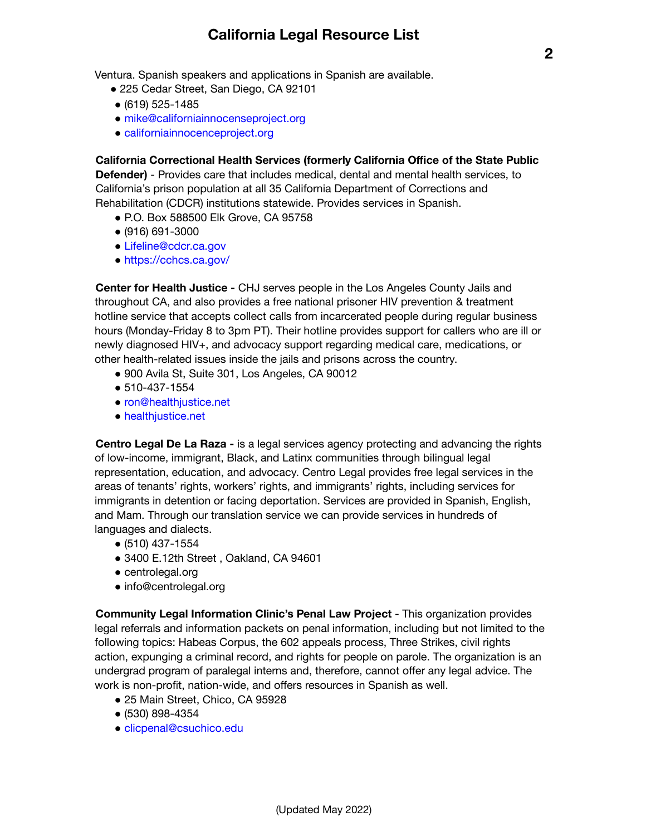Ventura. Spanish speakers and applications in Spanish are available.

- 225 Cedar Street, San Diego, CA 92101
- (619) 525-1485
- mike@californiainnocenseproject.org
- californiainnocenceproject.org

**California Correctional Health Services (formerly California Office of the State Public**

**Defender)** - Provides care that includes medical, dental and mental health services, to California's prison population at all 35 California Department of Corrections and Rehabilitation (CDCR) institutions statewide. Provides services in Spanish.

- P.O. Box 588500 Elk Grove, CA 95758
- (916) 691-3000
- Lifeline@cdcr.ca.gov
- https://cchcs.ca.gov/

**Center for Health Justice -** CHJ serves people in the Los Angeles County Jails and throughout CA, and also provides a free national prisoner HIV prevention & treatment hotline service that accepts collect calls from incarcerated people during regular business hours (Monday-Friday 8 to 3pm PT). Their hotline provides support for callers who are ill or newly diagnosed HIV+, and advocacy support regarding medical care, medications, or other health-related issues inside the jails and prisons across the country.

- 900 Avila St, Suite 301, Los Angeles, CA 90012
- 510-437-1554
- ron@healthjustice.net
- healthjustice.net

**Centro Legal De La Raza -** is a legal services agency protecting and advancing the rights of low-income, immigrant, Black, and Latinx communities through bilingual legal representation, education, and advocacy. Centro Legal provides free legal services in the areas of tenants' rights, workers' rights, and immigrants' rights, including services for immigrants in detention or facing deportation. Services are provided in Spanish, English, and Mam. Through our translation service we can provide services in hundreds of languages and dialects.

- (510) 437-1554
- 3400 E.12th Street, Oakland, CA 94601
- centrolegal.org
- info@centrolegal.org

**Community Legal Information Clinic's Penal Law Project** - This organization provides legal referrals and information packets on penal information, including but not limited to the following topics: Habeas Corpus, the 602 appeals process, Three Strikes, civil rights action, expunging a criminal record, and rights for people on parole. The organization is an undergrad program of paralegal interns and, therefore, cannot offer any legal advice. The work is non-profit, nation-wide, and offers resources in Spanish as well.

- 25 Main Street, Chico, CA 95928
- (530) 898-4354
- clicpenal@csuchico.edu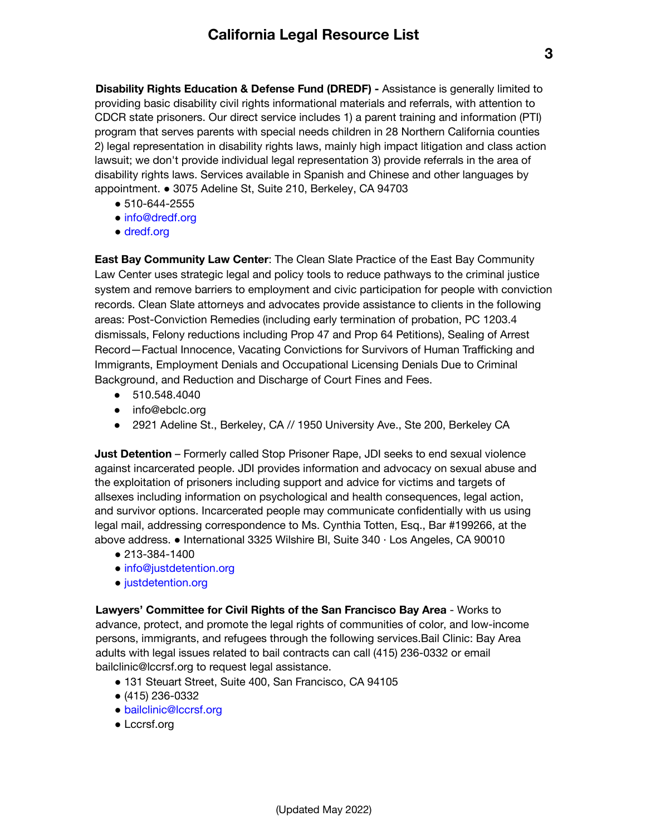**Disability Rights Education & Defense Fund (DREDF) -** Assistance is generally limited to providing basic disability civil rights informational materials and referrals, with attention to CDCR state prisoners. Our direct service includes 1) a parent training and information (PTI) program that serves parents with special needs children in 28 Northern California counties 2) legal representation in disability rights laws, mainly high impact litigation and class action lawsuit; we don't provide individual legal representation 3) provide referrals in the area of disability rights laws. Services available in Spanish and Chinese and other languages by appointment. ● 3075 Adeline St, Suite 210, Berkeley, CA 94703

- 510-644-2555
- info@dredf.org
- dredf.org

**East Bay Community Law Center**: The Clean Slate Practice of the East Bay Community Law Center uses strategic legal and policy tools to reduce pathways to the criminal justice system and remove barriers to employment and civic participation for people with conviction records. Clean Slate attorneys and advocates provide assistance to clients in the following areas: Post-Conviction Remedies (including early termination of probation, PC 1203.4 dismissals, Felony reductions including Prop 47 and Prop 64 Petitions), Sealing of Arrest Record—Factual Innocence, Vacating Convictions for Survivors of Human Trafficking and Immigrants, Employment Denials and Occupational Licensing Denials Due to Criminal Background, and Reduction and Discharge of Court Fines and Fees.

- 510.548.4040
- info@ebclc.org
- 2921 Adeline St., Berkeley, CA // 1950 University Ave., Ste 200, Berkeley CA

**Just Detention** – Formerly called Stop Prisoner Rape, JDI seeks to end sexual violence against incarcerated people. JDI provides information and advocacy on sexual abuse and the exploitation of prisoners including support and advice for victims and targets of allsexes including information on psychological and health consequences, legal action, and survivor options. Incarcerated people may communicate confidentially with us using legal mail, addressing correspondence to Ms. Cynthia Totten, Esq., Bar #199266, at the above address. ● International 3325 Wilshire Bl, Suite 340 · Los Angeles, CA 90010

- 213-384-1400
- info@justdetention.org
- justdetention.org

**Lawyers' Committee for Civil Rights of the San Francisco Bay Area** - Works to advance, protect, and promote the legal rights of communities of color, and low-income persons, immigrants, and refugees through the following services.Bail Clinic: Bay Area adults with legal issues related to bail contracts can call (415) 236-0332 or email bailclinic@lccrsf.org to request legal assistance.

- 131 Steuart Street, Suite 400, San Francisco, CA 94105
- (415) 236-0332
- bailclinic@lccrsf.org
- Lccrsf.org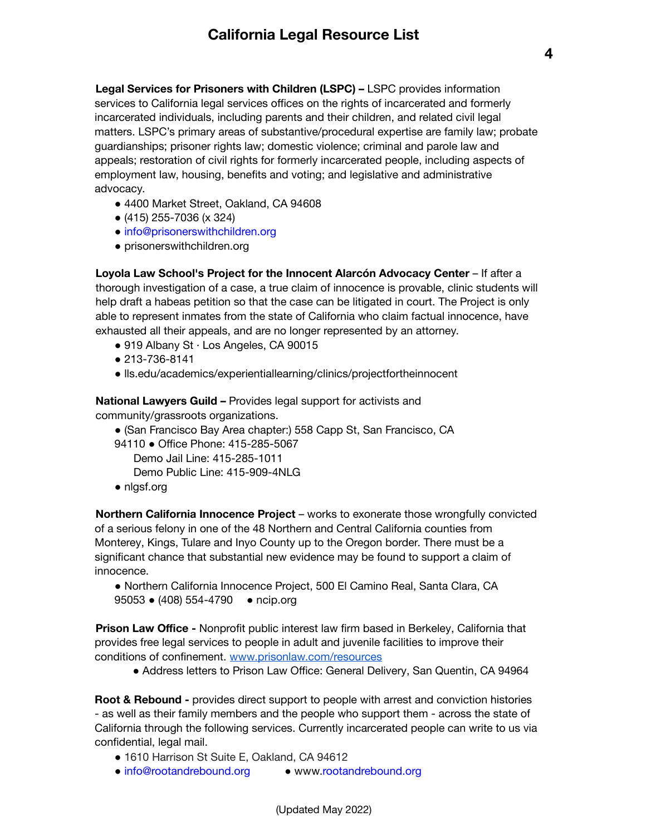**Legal Services for Prisoners with Children (LSPC) –** LSPC provides information services to California legal services offices on the rights of incarcerated and formerly incarcerated individuals, including parents and their children, and related civil legal matters. LSPC's primary areas of substantive/procedural expertise are family law; probate guardianships; prisoner rights law; domestic violence; criminal and parole law and appeals; restoration of civil rights for formerly incarcerated people, including aspects of employment law, housing, benefits and voting; and legislative and administrative advocacy.

- 4400 Market Street, Oakland, CA 94608
- (415) 255-7036 (x 324)
- info@prisonerswithchildren.org
- prisonerswithchildren.org

**Loyola Law School's Project for the Innocent Alarcón Advocacy Center** – If after a thorough investigation of a case, a true claim of innocence is provable, clinic students will help draft a habeas petition so that the case can be litigated in court. The Project is only able to represent inmates from the state of California who claim factual innocence, have exhausted all their appeals, and are no longer represented by an attorney.

- $\bullet$  919 Albany St  $\cdot$  Los Angeles, CA 90015
- 213-736-8141
- lls.edu/academics/experientiallearning/clinics/projectfortheinnocent

**National Lawyers Guild –** Provides legal support for activists and community/grassroots organizations.

- (San Francisco Bay Area chapter:) 558 Capp St, San Francisco, CA
- 94110 Office Phone: 415-285-5067

Demo Jail Line: 415-285-1011

- Demo Public Line: 415-909-4NLG
- nlgsf.org

**Northern California Innocence Project** – works to exonerate those wrongfully convicted of a serious felony in one of the 48 Northern and Central California counties from Monterey, Kings, Tulare and Inyo County up to the Oregon border. There must be a significant chance that substantial new evidence may be found to support a claim of innocence.

● Northern California Innocence Project, 500 El Camino Real, Santa Clara, CA 95053 · (408) 554-4790 · ncip.org

**Prison Law Office -** Nonprofit public interest law firm based in Berkeley, California that provides free legal services to people in adult and juvenile facilities to improve their conditions of confinement. [www.prisonlaw.com/resources](http://www.prisonlaw.com/resources)

● Address letters to Prison Law Office: General Delivery, San Quentin, CA 94964

**Root & Rebound -** provides direct support to people with arrest and conviction histories - as well as their family members and the people who support them - across the state of California through the following services. Currently incarcerated people can write to us via confidential, legal mail.

- 1610 Harrison St Suite E, Oakland, CA 94612
- info@rootandrebound.org www.rootandrebound.org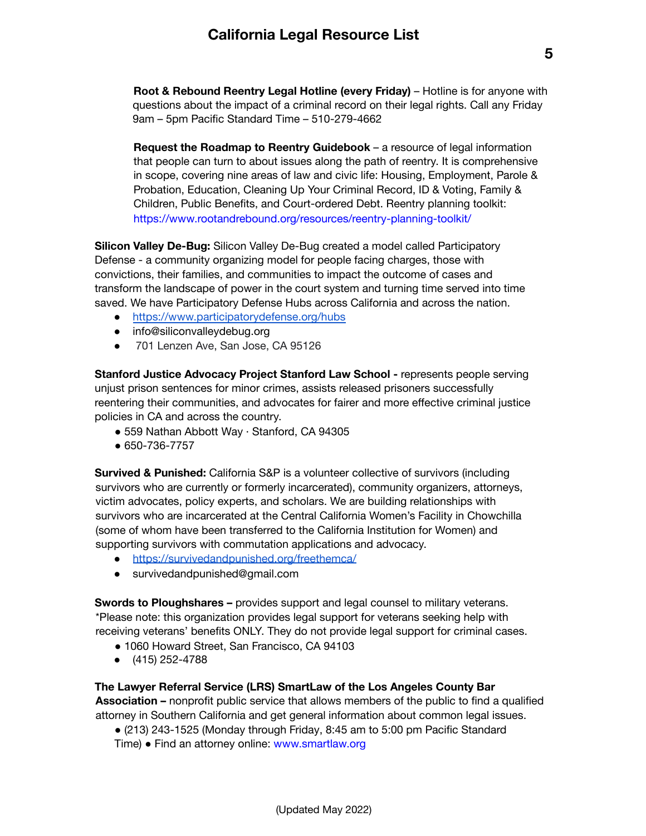**Root & Rebound Reentry Legal Hotline (every Friday)** – Hotline is for anyone with questions about the impact of a criminal record on their legal rights. Call any Friday 9am – 5pm Pacific Standard Time – 510-279-4662

**Request the Roadmap to Reentry Guidebook** – a resource of legal information that people can turn to about issues along the path of reentry. It is comprehensive in scope, covering nine areas of law and civic life: Housing, Employment, Parole & Probation, Education, Cleaning Up Your Criminal Record, ID & Voting, Family & Children, Public Benefits, and Court-ordered Debt. Reentry planning toolkit: https://www.rootandrebound.org/resources/reentry-planning-toolkit/

**Silicon Valley De-Bug:** Silicon Valley De-Bug created a model called Participatory Defense - a community organizing model for people facing charges, those with convictions, their families, and communities to impact the outcome of cases and transform the landscape of power in the court system and turning time served into time saved. We have Participatory Defense Hubs across California and across the nation.

- <https://www.participatorydefense.org/hubs>
- info@siliconvalleydebug.org
- 701 Lenzen Ave, San Jose, CA 95126

**Stanford Justice Advocacy Project Stanford Law School -** represents people serving unjust prison sentences for minor crimes, assists released prisoners successfully reentering their communities, and advocates for fairer and more effective criminal justice policies in CA and across the country.

- 559 Nathan Abbott Way · Stanford, CA 94305
- 650-736-7757

**Survived & Punished:** California S&P is a volunteer collective of survivors (including survivors who are currently or formerly incarcerated), community organizers, attorneys, victim advocates, policy experts, and scholars. We are building relationships with survivors who are incarcerated at the Central California Women's Facility in Chowchilla (some of whom have been transferred to the California Institution for Women) and supporting survivors with commutation applications and advocacy.

- <https://survivedandpunished.org/freethemca/>
- survivedandpunished@gmail.com

**Swords to Ploughshares –** provides support and legal counsel to military veterans. \*Please note: this organization provides legal support for veterans seeking help with receiving veterans' benefits ONLY. They do not provide legal support for criminal cases.

- 1060 Howard Street, San Francisco, CA 94103
- (415) 252-4788

#### **The Lawyer Referral Service (LRS) SmartLaw of the Los Angeles County Bar**

**Association –** nonprofit public service that allows members of the public to find a qualified attorney in Southern California and get general information about common legal issues.

 $\bullet$  (213) 243-1525 (Monday through Friday, 8:45 am to 5:00 pm Pacific Standard Time) ● Find an attorney online: www.smartlaw.org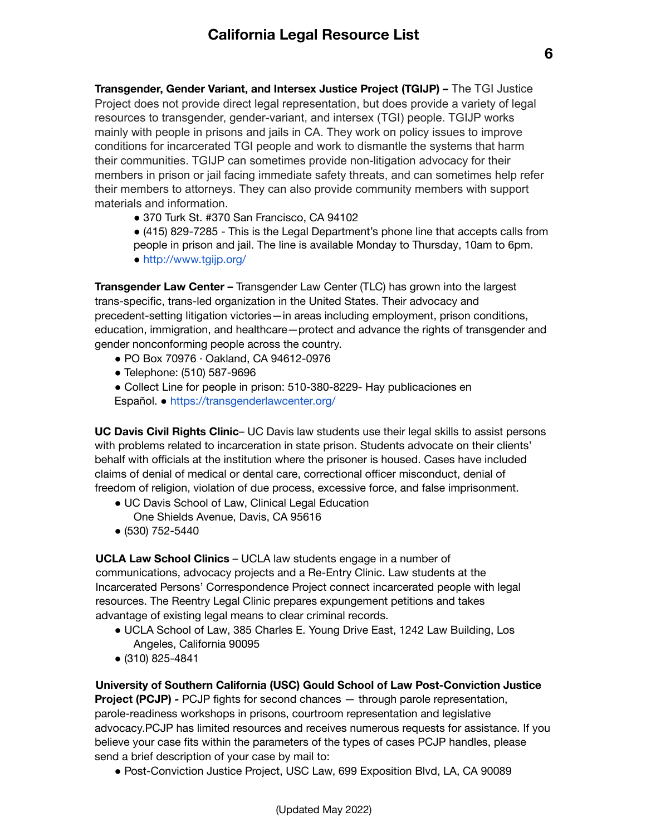**Transgender, Gender Variant, and Intersex Justice Project (TGIJP) –** The TGI Justice Project does not provide direct legal representation, but does provide a variety of legal resources to transgender, gender-variant, and intersex (TGI) people. TGIJP works mainly with people in prisons and jails in CA. They work on policy issues to improve conditions for incarcerated TGI people and work to dismantle the systems that harm their communities. TGIJP can sometimes provide non-litigation advocacy for their members in prison or jail facing immediate safety threats, and can sometimes help refer their members to attorneys. They can also provide community members with support materials and information.

- 370 Turk St. #370 San Francisco, CA 94102
- (415) 829-7285 This is the Legal Department's phone line that accepts calls from
- people in prison and jail. The line is available Monday to Thursday, 10am to 6pm.
- http://www.tgijp.org/

**Transgender Law Center –** Transgender Law Center (TLC) has grown into the largest trans-specific, trans-led organization in the United States. Their advocacy and precedent-setting litigation victories—in areas including employment, prison conditions, education, immigration, and healthcare—protect and advance the rights of transgender and gender nonconforming people across the country.

- PO Box 70976 · Oakland, CA 94612-0976
- Telephone: (510) 587-9696
- Collect Line for people in prison: 510-380-8229- Hay publicaciones en
- Español. https://transgenderlawcenter.org/

**UC Davis Civil Rights Clinic**– UC Davis law students use their legal skills to assist persons with problems related to incarceration in state prison. Students advocate on their clients' behalf with officials at the institution where the prisoner is housed. Cases have included claims of denial of medical or dental care, correctional officer misconduct, denial of freedom of religion, violation of due process, excessive force, and false imprisonment.

- UC Davis School of Law, Clinical Legal Education One Shields Avenue, Davis, CA 95616
- (530) 752-5440

**UCLA Law School Clinics** – UCLA law students engage in a number of communications, advocacy projects and a Re-Entry Clinic. Law students at the Incarcerated Persons' Correspondence Project connect incarcerated people with legal resources. The Reentry Legal Clinic prepares expungement petitions and takes advantage of existing legal means to clear criminal records.

- UCLA School of Law, 385 Charles E. Young Drive East, 1242 Law Building, Los Angeles, California 90095
- (310) 825-4841

**University of Southern California (USC) Gould School of Law Post-Conviction Justice Project (PCJP) -** PCJP fights for second chances — through parole representation, parole-readiness workshops in prisons, courtroom representation and legislative advocacy.PCJP has limited resources and receives numerous requests for assistance. If you believe your case fits within the parameters of the types of cases PCJP handles, please send a brief description of your case by mail to:

● Post-Conviction Justice Project, USC Law, 699 Exposition Blvd, LA, CA 90089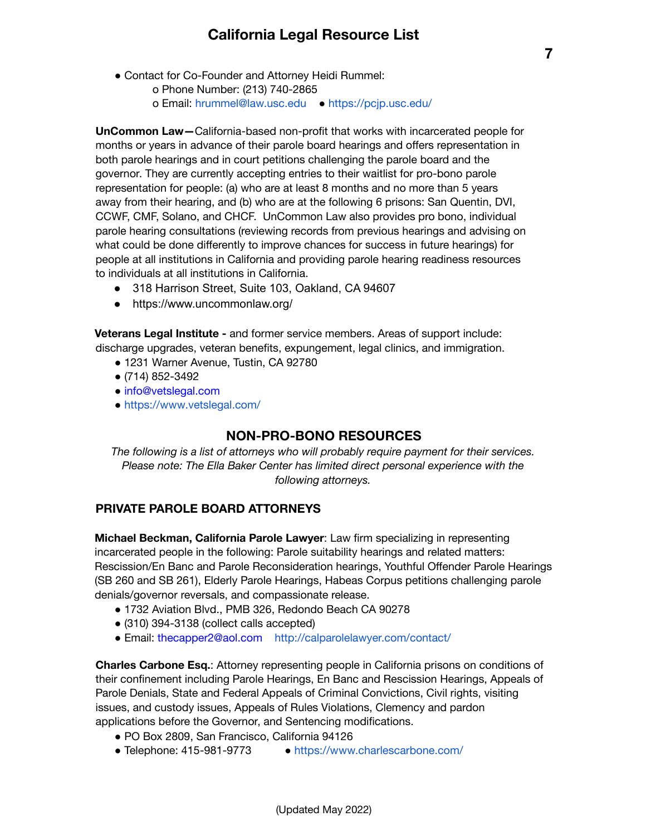- Contact for Co-Founder and Attorney Heidi Rummel:
	- o Phone Number: (213) 740-2865 o Email: hrummel@law.usc.edu ● https://pcjp.usc.edu/

**UnCommon Law—**California-based non-profit that works with incarcerated people for months or years in advance of their parole board hearings and offers representation in both parole hearings and in court petitions challenging the parole board and the governor. They are currently accepting entries to their waitlist for pro-bono parole representation for people: (a) who are at least 8 months and no more than 5 years away from their hearing, and (b) who are at the following 6 prisons: San Quentin, DVI, CCWF, CMF, Solano, and CHCF. UnCommon Law also provides pro bono, individual parole hearing consultations (reviewing records from previous hearings and advising on what could be done differently to improve chances for success in future hearings) for people at all institutions in California and providing parole hearing readiness resources to individuals at all institutions in California.

- 318 Harrison Street, Suite 103, Oakland, CA 94607
- https://www.uncommonlaw.org/

**Veterans Legal Institute -** and former service members. Areas of support include: discharge upgrades, veteran benefits, expungement, legal clinics, and immigration.

- 1231 Warner Avenue, Tustin, CA 92780
- (714) 852-3492
- info@vetslegal.com
- https://www.vetslegal.com/

### **NON-PRO-BONO RESOURCES**

*The following is a list of attorneys who will probably require payment for their services. Please note: The Ella Baker Center has limited direct personal experience with the following attorneys.*

### **PRIVATE PAROLE BOARD ATTORNEYS**

**Michael Beckman, California Parole Lawyer**: Law firm specializing in representing incarcerated people in the following: Parole suitability hearings and related matters: Rescission/En Banc and Parole Reconsideration hearings, Youthful Offender Parole Hearings (SB 260 and SB 261), Elderly Parole Hearings, Habeas Corpus petitions challenging parole denials/governor reversals, and compassionate release.

- 1732 Aviation Blvd., PMB 326, Redondo Beach CA 90278
- $\bullet$  (310) 394-3138 (collect calls accepted)
- Email: thecapper2@aol.com http://calparolelawyer.com/contact/

**Charles Carbone Esq.**: Attorney representing people in California prisons on conditions of their confinement including Parole Hearings, En Banc and Rescission Hearings, Appeals of Parole Denials, State and Federal Appeals of Criminal Convictions, Civil rights, visiting issues, and custody issues, Appeals of Rules Violations, Clemency and pardon applications before the Governor, and Sentencing modifications.

(Updated May 2022)

- PO Box 2809, San Francisco, California 94126
- Telephone: 415-981-9773 https://www.charlescarbone.com/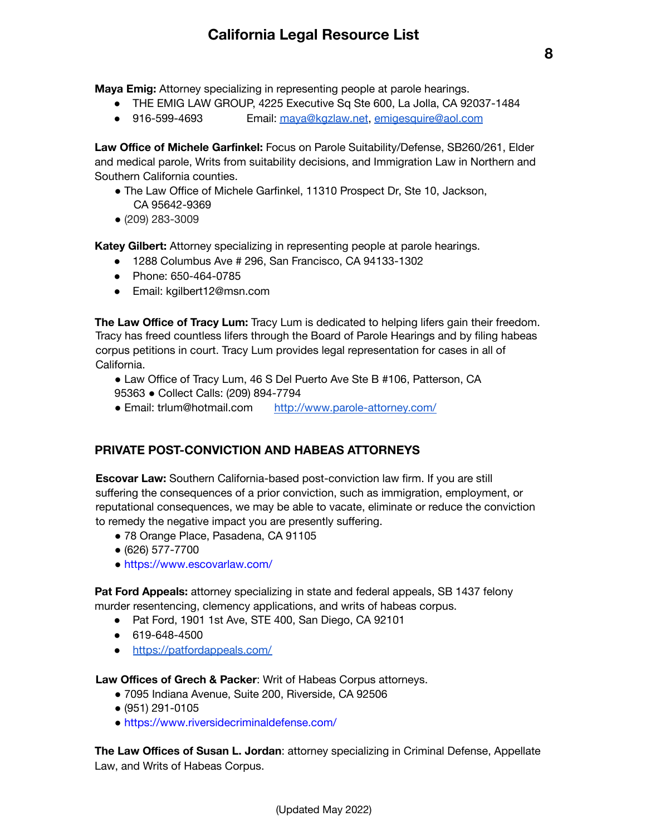**Maya Emig:** Attorney specializing in representing people at parole hearings.

- THE EMIG LAW GROUP, 4225 Executive Sq Ste 600, La Jolla, CA 92037-1484
- 916-599-4693 Email: [maya@kgzlaw.net](mailto:maya@kgzlaw.net), [emigesquire@aol.com](mailto:emigesquire@aol.com)

**Law Office of Michele Garfinkel:** Focus on Parole Suitability/Defense, SB260/261, Elder and medical parole, Writs from suitability decisions, and Immigration Law in Northern and Southern California counties.

- The Law Office of Michele Garfinkel, 11310 Prospect Dr, Ste 10, Jackson, CA 95642-9369
- (209) 283-3009

**Katey Gilbert:** Attorney specializing in representing people at parole hearings.

- 1288 Columbus Ave # 296, San Francisco, CA 94133-1302
- Phone: 650-464-0785
- Email: kgilbert12@msn.com

**The Law Office of Tracy Lum:** Tracy Lum is dedicated to helping lifers gain their freedom. Tracy has freed countless lifers through the Board of Parole Hearings and by filing habeas corpus petitions in court. Tracy Lum provides legal representation for cases in all of California.

- Law Office of Tracy Lum, 46 S Del Puerto Ave Ste B #106, Patterson, CA 95363 ● Collect Calls: (209) 894-7794
- Email: trlum@hotmail.com <http://www.parole-attorney.com/>

### **PRIVATE POST-CONVICTION AND HABEAS ATTORNEYS**

**Escovar Law:** Southern California-based post-conviction law firm. If you are still suffering the consequences of a prior conviction, such as immigration, employment, or reputational consequences, we may be able to vacate, eliminate or reduce the conviction to remedy the negative impact you are presently suffering.

- 78 Orange Place, Pasadena, CA 91105
- (626) 577-7700
- https://www.escovarlaw.com/

**Pat Ford Appeals:** attorney specializing in state and federal appeals, SB 1437 felony murder resentencing, clemency applications, and writs of habeas corpus.

- Pat Ford, 1901 1st Ave, STE 400, San Diego, CA 92101
- 619-648-4500
- <https://patfordappeals.com/>

**Law Offices of Grech & Packer**: Writ of Habeas Corpus attorneys.

- 7095 Indiana Avenue, Suite 200, Riverside, CA 92506
- (951) 291-0105
- https://www.riversidecriminaldefense.com/

**The Law Offices of Susan L. Jordan**: attorney specializing in Criminal Defense, Appellate Law, and Writs of Habeas Corpus.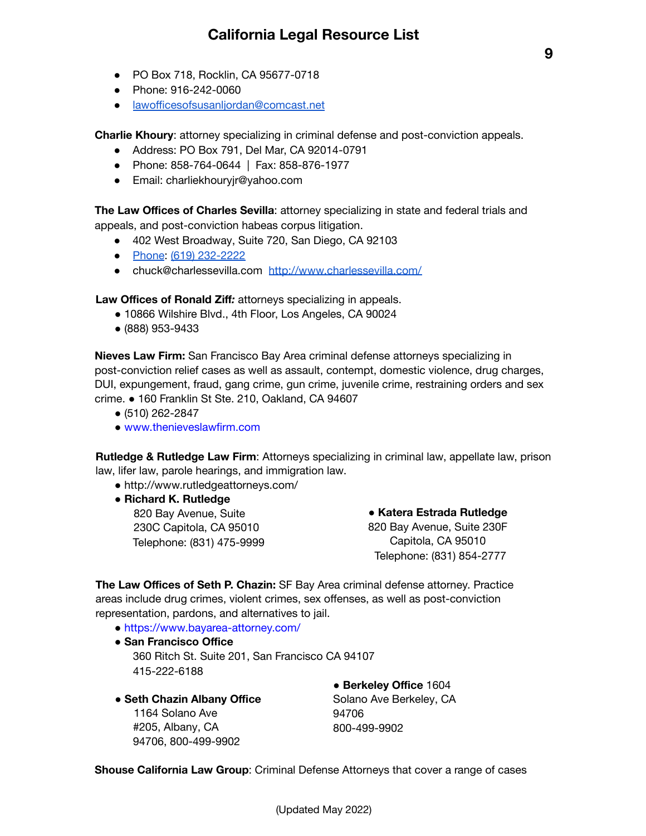- PO Box 718, Rocklin, CA 95677-0718
- Phone: 916-242-0060
- [lawofficesofsusanljordan@comcast.net](mailto:lawofficesofsusanljordan@comcast.net)

**Charlie Khoury**: attorney specializing in criminal defense and post-conviction appeals.

- Address: PO Box 791, Del Mar, CA 92014-0791
- Phone: 858-764-0644 | Fax: 858-876-1977
- Email: charliekhouryjr@yahoo.com

**The Law Offices of Charles Sevilla**: attorney specializing in state and federal trials and appeals, and post-conviction habeas corpus litigation.

- 402 West Broadway, Suite 720, San Diego, CA 92103
- [Phone](https://www.google.com/search?q=charles+sevilla+law+offices+san+diego+phone&ludocid=3842033833019448403&sa=X&ved=2ahUKEwiMjsa9kZv1AhUjHDQIHZqqArsQ6BN6BAhAEAI): [\(619\) 232-2222](https://www.google.com/search?q=Charles+Sevilla+attorney&ei=x9TVYYqbO5vJ0PEPmckI&ved=0ahUKEwjKmqHwkJv1AhWbJDQIHZkkAgAQ4dUDCA4&uact=5&oq=Charles+Sevilla+attorney&gs_lcp=Cgdnd3Mtd2l6EAMyBAgAEB46CggAEEcQsAMQyQM6BwgAEEcQsAM6BggAEAcQHkoECEEYAEoECEYYAFCaB1i2C2DQDGgBcAF4AIABXIgBmgGSAQEymAEAoAECoAEByAEEwAEB&sclient=gws-wiz#)
- chuck@charlessevilla.com <http://www.charlessevilla.com/>

**Law Offices of Ronald Ziff***:* attorneys specializing in appeals.

- 10866 Wilshire Blvd., 4th Floor, Los Angeles, CA 90024
- (888) 953-9433

**Nieves Law Firm:** San Francisco Bay Area criminal defense attorneys specializing in post-conviction relief cases as well as assault, contempt, domestic violence, drug charges, DUI, expungement, fraud, gang crime, gun crime, juvenile crime, restraining orders and sex crime. ● 160 Franklin St Ste. 210, Oakland, CA 94607

- (510) 262-2847
- www.thenieveslawfirm.com

**Rutledge & Rutledge Law Firm**: Attorneys specializing in criminal law, appellate law, prison law, lifer law, parole hearings, and immigration law.

- http://www.rutledgeattorneys.com/
- **● Richard K. Rutledge** 820 Bay Avenue, Suite 230C Capitola, CA 95010 Telephone: (831) 475-9999

**● Katera Estrada Rutledge** 820 Bay Avenue, Suite 230F Capitola, CA 95010 Telephone: (831) 854-2777

**The Law Offices of Seth P. Chazin:** SF Bay Area criminal defense attorney. Practice areas include drug crimes, violent crimes, sex offenses, as well as post-conviction representation, pardons, and alternatives to jail.

- https://www.bayarea-attorney.com/
- **● San Francisco Office** 360 Ritch St. Suite 201, San Francisco CA 94107 415-222-6188
- **● Seth Chazin Albany Office**

1164 Solano Ave #205, Albany, CA 94706, 800-499-9902

**● Berkeley Office** 1604 Solano Ave Berkeley, CA 94706 800-499-9902

**Shouse California Law Group**: Criminal Defense Attorneys that cover a range of cases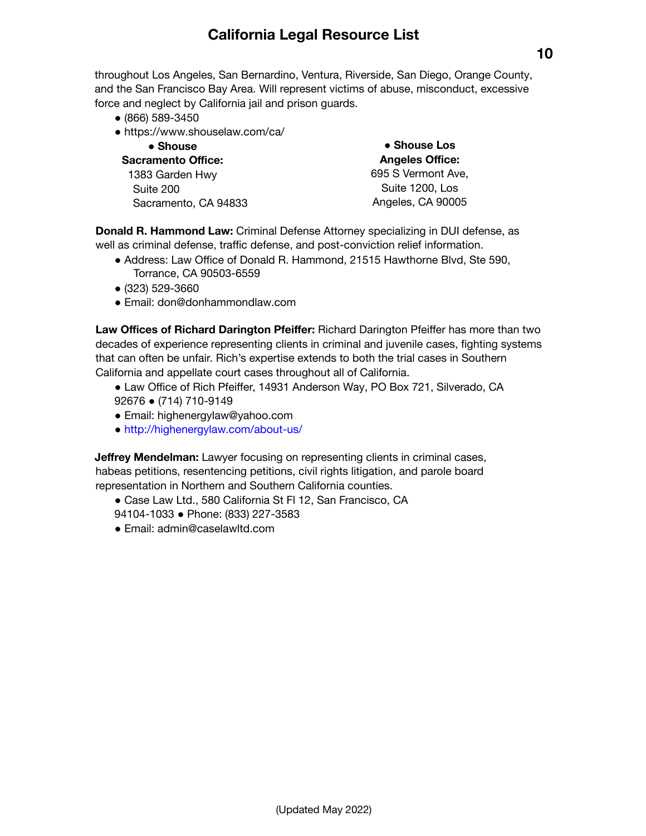throughout Los Angeles, San Bernardino, Ventura, Riverside, San Diego, Orange County, and the San Francisco Bay Area. Will represent victims of abuse, misconduct, excessive force and neglect by California jail and prison guards.

- (866) 589-3450
- https://www.shouselaw.com/ca/

| • Shouse<br>Sacramento Office: | • Shouse Los<br><b>Angeles Office:</b> |
|--------------------------------|----------------------------------------|
|                                |                                        |
| Suite 200                      | Suite 1200, Los                        |
| Sacramento, CA 94833           | Angeles, CA 90005                      |

**Donald R. Hammond Law:** Criminal Defense Attorney specializing in DUI defense, as well as criminal defense, traffic defense, and post-conviction relief information.

- Address: Law Office of Donald R. Hammond, 21515 Hawthorne Blvd, Ste 590, Torrance, CA 90503-6559
- (323) 529-3660
- Email: don@donhammondlaw.com

**Law Offices of Richard Darington Pfeiffer:** Richard Darington Pfeiffer has more than two decades of experience representing clients in criminal and juvenile cases, fighting systems that can often be unfair. Rich's expertise extends to both the trial cases in Southern California and appellate court cases throughout all of California.

- Law Office of Rich Pfeiffer, 14931 Anderson Way, PO Box 721, Silverado, CA 92676 ● (714) 710-9149
- Email: highenergylaw@yahoo.com
- http://highenergylaw.com/about-us/

**Jeffrey Mendelman:** Lawyer focusing on representing clients in criminal cases, habeas petitions, resentencing petitions, civil rights litigation, and parole board representation in Northern and Southern California counties.

- Case Law Ltd., 580 California St Fl 12, San Francisco, CA 94104-1033 ● Phone: (833) 227-3583
- Email: admin@caselawltd.com